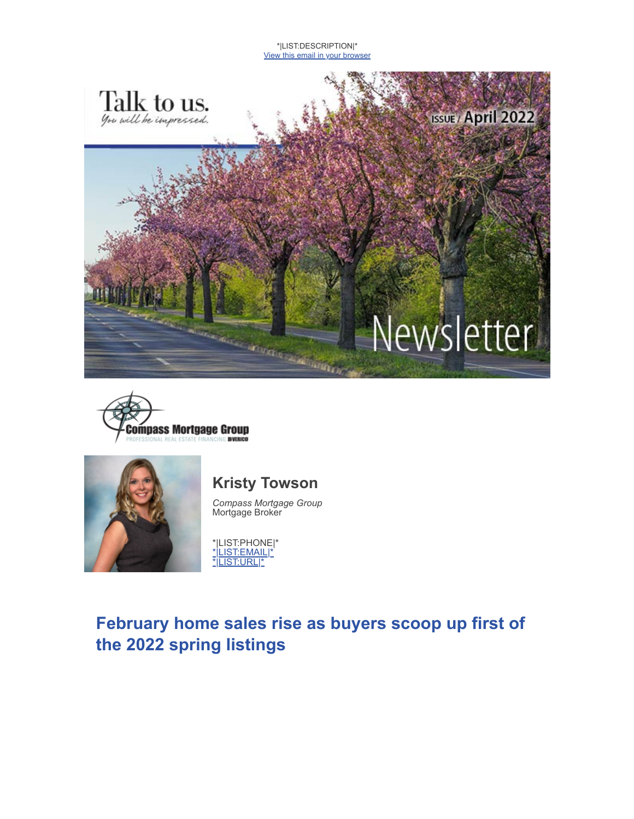





### **Kristy Towson**

*Compass Mortgage Group* Mortgage Broker

\*|LIST:PHONE|\* [\\*|LIST:EMAIL|\\*](mailto:*%7CLIST:EMAIL%7C*) [\\*|LIST:URL|\\*](file:///C:/Users/krist/Downloads/*%7CLIST:URL%7C*)

# **February home sales rise as buyers scoop up first of the 2022 spring listings**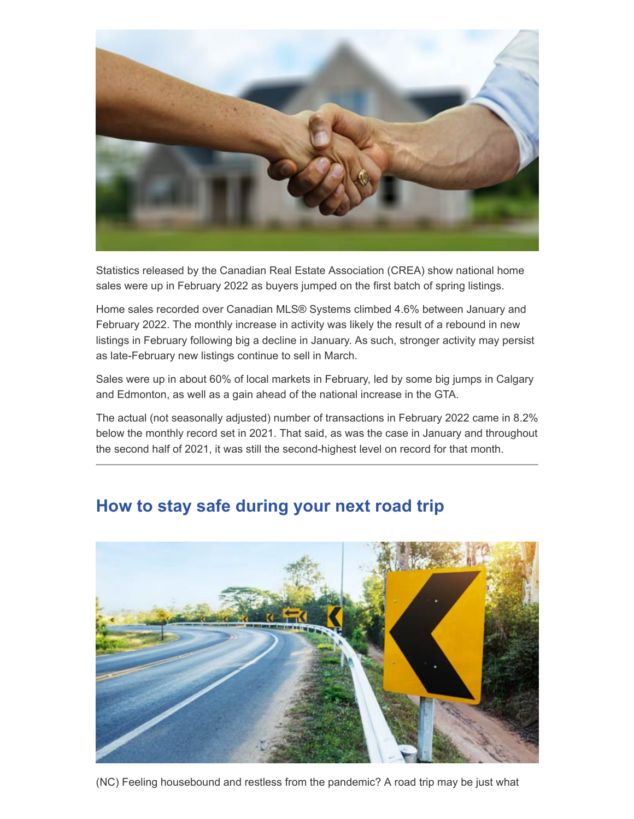

Statistics released by the Canadian Real Estate Association (CREA) show national home sales were up in February 2022 as buyers jumped on the first batch of spring listings.

Home sales recorded over Canadian MLS® Systems climbed 4.6% between January and February 2022. The monthly increase in activity was likely the result of a rebound in new listings in February following big a decline in January. As such, stronger activity may persist as late-February new listings continue to sell in March.

Sales were up in about 60% of local markets in February, led by some big jumps in Calgary and Edmonton, as well as a gain ahead of the national increase in the GTA.

The actual (not seasonally adjusted) number of transactions in February 2022 came in 8.2% below the monthly record set in 2021. That said, as was the case in January and throughout the second half of 2021, it was still the second-highest level on record for that month.



# **How to stay safe during your next road trip**

(NC) Feeling housebound and restless from the pandemic? A road trip may be just what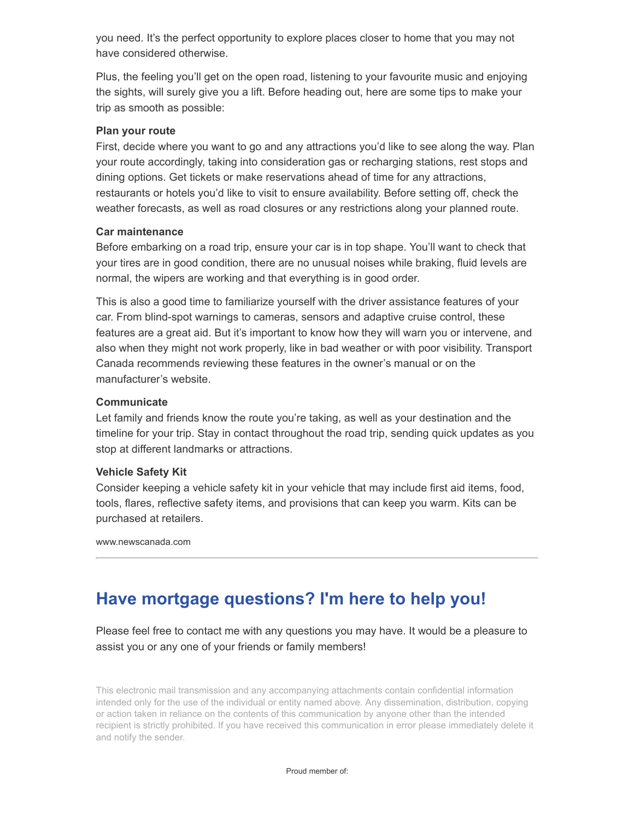you need. It's the perfect opportunity to explore places closer to home that you may not have considered otherwise.

Plus, the feeling you'll get on the open road, listening to your favourite music and enjoying the sights, will surely give you a lift. Before heading out, here are some tips to make your trip as smooth as possible:

#### **Plan your route**

First, decide where you want to go and any attractions you'd like to see along the way. Plan your route accordingly, taking into consideration gas or recharging stations, rest stops and dining options. Get tickets or make reservations ahead of time for any attractions, restaurants or hotels you'd like to visit to ensure availability. Before setting off, check the weather forecasts, as well as road closures or any restrictions along your planned route.

#### **Car maintenance**

Before embarking on a road trip, ensure your car is in top shape. You'll want to check that your tires are in good condition, there are no unusual noises while braking, fluid levels are normal, the wipers are working and that everything is in good order.

This is also a good time to familiarize yourself with the driver assistance features of your car. From blind-spot warnings to cameras, sensors and adaptive cruise control, these features are a great aid. But it's important to know how they will warn you or intervene, and also when they might not work properly, like in bad weather or with poor visibility. Transport Canada recommends reviewing these features in the owner's manual or on the manufacturer's website.

#### **Communicate**

Let family and friends know the route you're taking, as well as your destination and the timeline for your trip. Stay in contact throughout the road trip, sending quick updates as you stop at different landmarks or attractions.

#### **Vehicle Safety Kit**

Consider keeping a vehicle safety kit in your vehicle that may include first aid items, food, tools, flares, reflective safety items, and provisions that can keep you warm. Kits can be purchased at retailers.

www.newscanada.com

### **Have mortgage questions? I'm here to help you!**

Please feel free to contact me with any questions you may have. It would be a pleasure to assist you or any one of your friends or family members!

This electronic mail transmission and any accompanying attachments contain confidential information intended only for the use of the individual or entity named above. Any dissemination, distribution, copying or action taken in reliance on the contents of this communication by anyone other than the intended recipient is strictly prohibited. If you have received this communication in error please immediately delete it and notify the sender.